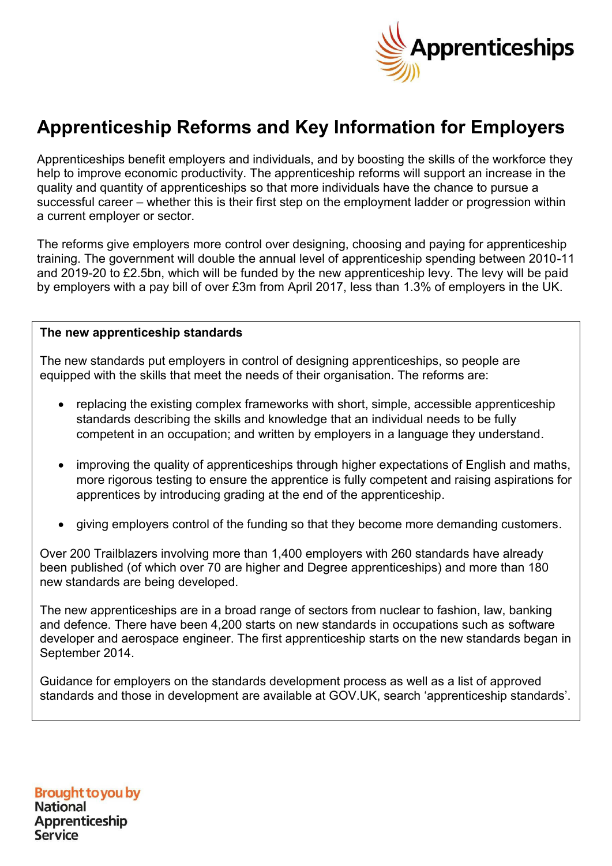

# **Apprenticeship Reforms and Key Information for Employers**

Apprenticeships benefit employers and individuals, and by boosting the skills of the workforce they help to improve economic productivity. The apprenticeship reforms will support an increase in the quality and quantity of apprenticeships so that more individuals have the chance to pursue a successful career – whether this is their first step on the employment ladder or progression within a current employer or sector.

The reforms give employers more control over designing, choosing and paying for apprenticeship training. The government will double the annual level of apprenticeship spending between 2010-11 and 2019-20 to £2.5bn, which will be funded by the new apprenticeship levy. The levy will be paid by employers with a pay bill of over £3m from April 2017, less than 1.3% of employers in the UK.

#### **The new apprenticeship standards**

The new standards put employers in control of designing apprenticeships, so people are equipped with the skills that meet the needs of their organisation. The reforms are:

- replacing the existing complex frameworks with short, simple, accessible apprenticeship standards describing the skills and knowledge that an individual needs to be fully competent in an occupation; and written by employers in a language they understand.
- improving the quality of apprenticeships through higher expectations of English and maths, more rigorous testing to ensure the apprentice is fully competent and raising aspirations for apprentices by introducing grading at the end of the apprenticeship.
- giving employers control of the funding so that they become more demanding customers.

Over 200 Trailblazers involving more than 1,400 employers with 260 standards have already been published (of which over 70 are higher and Degree apprenticeships) and more than 180 new standards are being developed.

The new apprenticeships are in a broad range of sectors from nuclear to fashion, law, banking and defence. There have been 4,200 starts on new standards in occupations such as software developer and aerospace engineer. The first apprenticeship starts on the new standards began in September 2014.

Guidance for employers on the standards development process as well as a list of approved standards and those in development are available at GOV.UK, search 'apprenticeship standards'.

**Brought to you by National Apprenticeship Service**